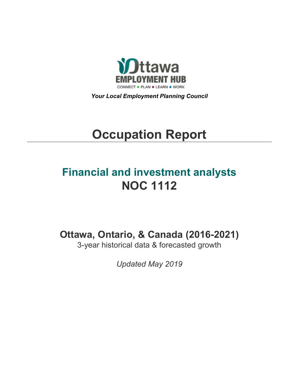

*Your Local Employment Planning Council*

# **Occupation Report**

# **Financial and investment analysts NOC 1112**

**Ottawa, Ontario, & Canada (2016-2021)**

3-year historical data & forecasted growth

*Updated May 2019*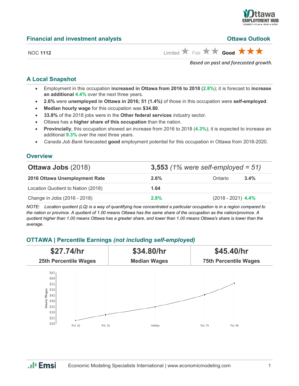

**Ottawa Outlook** 

|  | <b>Financial and investment analysts</b> |  |
|--|------------------------------------------|--|
|  |                                          |  |

NOC 1112 **Limited Cool Eair A Good A A** 

*Based on past and forecasted growth.*

# **A Local Snapshot**

- Employment in this occupation **increased in Ottawa from 2016 to 2018** (**2.8%**); it is forecast to **increase an additional 4.4%** over the next three years.
- **2.6%** were **unemployed in Ottawa in 2016; 51 (1.4%)** of those in this occupation were **self-employed**.
- **Median hourly wage** for this occupation was **\$34.80**.
- **33.8%** of the 2018 jobs were in the **Other federal services** industry sector.
- Ottawa has a **higher share of this occupation** than the nation.
- **Provincially**, this occupation showed an increase from 2016 to 2018 (**4.3%**); it is expected to increase an additional **9.3%** over the next three years.
- *Canada Job Bank* forecasted **good** employment potential for this occupation in Ottawa from 2018-2020.

# **Overview**

| <b>Ottawa Jobs (2018)</b>          | 3,553 $(1\%$ were self-employed = 51) |                      |         |  |
|------------------------------------|---------------------------------------|----------------------|---------|--|
| 2016 Ottawa Unemployment Rate      | 2.6%                                  | Ontario              | $3.4\%$ |  |
| Location Quotient to Nation (2018) | 1.64                                  |                      |         |  |
| Change in Jobs (2016 - 2018)       | 2.8%                                  | $(2018 - 2021)$ 4.4% |         |  |

*NOTE: Location quotient (LQ) is a way of quantifying how concentrated a particular occupation is in a region compared to the nation or province. A quotient of 1.00 means Ottawa has the same share of the occupation as the nation/province. A quotient higher than 1.00 means Ottawa has a greater share, and lower than 1.00 means Ottawa's share is lower than the average.*

# **OTTAWA | Percentile Earnings** *(not including self-employed)*

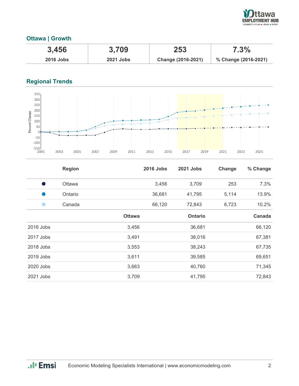

# **Ottawa | Growth**

| 3,456            | 3,709            | 253                | 7.3%                 |
|------------------|------------------|--------------------|----------------------|
| <b>2016 Jobs</b> | <b>2021 Jobs</b> | Change (2016-2021) | % Change (2016-2021) |

# **Regional Trends**



|           | <b>Region</b> |               | <b>2016 Jobs</b> | <b>2021 Jobs</b> | Change | % Change |
|-----------|---------------|---------------|------------------|------------------|--------|----------|
|           | <b>Ottawa</b> |               | 3,456            | 3,709            | 253    | 7.3%     |
|           | Ontario       |               | 36,681           | 41,795           | 5,114  | 13.9%    |
|           | Canada        |               | 66,120           | 72,843           | 6,723  | 10.2%    |
|           |               | <b>Ottawa</b> |                  | <b>Ontario</b>   |        | Canada   |
| 2016 Jobs |               | 3,456         |                  | 36,681           |        | 66,120   |
| 2017 Jobs |               | 3,491         |                  | 38,016           |        | 67,381   |
| 2018 Jobs |               | 3,553         |                  | 38,243           |        | 67,735   |
| 2019 Jobs |               | 3,611         |                  | 39,585           |        | 69,651   |
| 2020 Jobs |               | 3,663         |                  | 40,760           |        | 71,345   |
| 2021 Jobs |               | 3,709         |                  | 41,795           |        | 72,843   |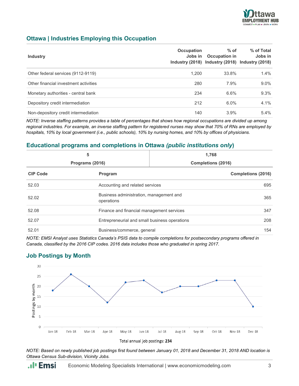

# **Ottawa | Industries Employing this Occupation**

| <b>Industry</b>                       | <b>Occupation</b><br>Jobs in | $%$ of<br><b>Occupation in</b><br>Industry (2018) Industry (2018) Industry (2018) | % of Total<br>Jobs in |
|---------------------------------------|------------------------------|-----------------------------------------------------------------------------------|-----------------------|
| Other federal services (9112-9119)    | 1.200                        | 33.8%                                                                             | $1.4\%$               |
| Other financial investment activities | 280                          | 7.9%                                                                              | $9.0\%$               |
| Monetary authorities - central bank   | 234                          | 6.6%                                                                              | 9.3%                  |
| Depository credit intermediation      | 212                          | 6.0%                                                                              | $4.1\%$               |
| Non-depository credit intermediation  | 140                          | 3.9%                                                                              | $5.4\%$               |

*NOTE: Inverse staffing patterns provides a table of percentages that shows how regional occupations are divided up among regional industries. For example, an inverse staffing pattern for registered nurses may show that 70% of RNs are employed by hospitals, 10% by local government (i.e., public schools), 10% by nursing homes, and 10% by offices of physicians.*

## **Educational programs and completions in Ottawa** *(public institutions only***)**

| 5<br>Programs (2016) |                                                       | 1,768<br>Completions (2016)                          |  |
|----------------------|-------------------------------------------------------|------------------------------------------------------|--|
| <b>CIP Code</b>      | Program                                               | <b>Completions (2016)</b>                            |  |
| 52.03                | Accounting and related services                       | 695                                                  |  |
| 52.02                | Business administration, management and<br>operations | 365                                                  |  |
| 52.08                |                                                       | Finance and financial management services            |  |
| 52.07                |                                                       | Entrepreneurial and small business operations<br>208 |  |
| 52.01                |                                                       | Business/commerce, general<br>154                    |  |

*NOTE: EMSI Analyst uses Statistics Canada's PSIS data to compile completions for postsecondary programs offered in Canada, classified by the 2016 CIP codes. 2016 data includes those who graduated in spring 2017.*

# **Job Postings by Month**



*NOTE: Based on newly published job postings first found between January 01, 2018 and December 31, 2018 AND location is Ottawa Census Sub-division, Vicinity Jobs.*